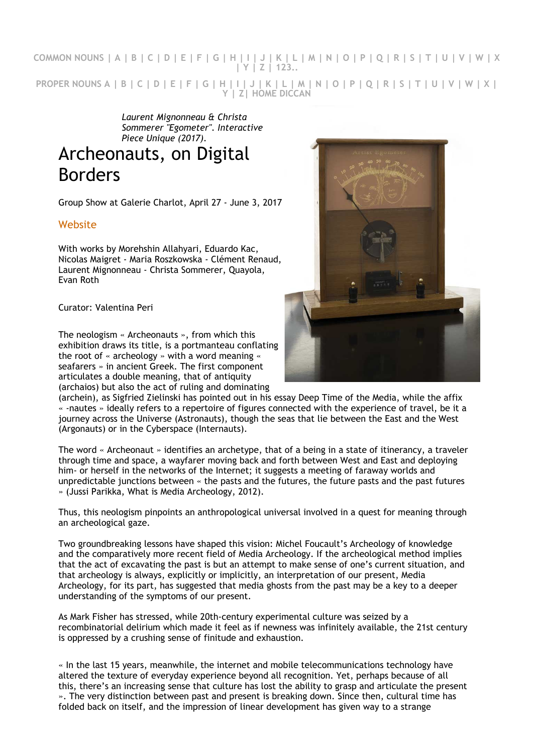**COMMON NOUNS | A | B | C | D | E | F | G | H | I | J | K | L | M | N | O | P | Q | R | S | T | U | V | W | X | Y | Z | 123.. PROPER NOUNS A | B | C | D | E | F | G | H | I | J | K | L | M | N | O | P | Q | R | S | T | U | V | W | X | Y | Z| HOME DICCAN**

> *Laurent Mignonneau & Christa Sommerer "Egometer". Interactive Piece Unique (2017).*

## Archeonauts, on Digital Borders

Group Show at Galerie Charlot, April 27 - June 3, 2017

## **Website**

With works by Morehshin Allahyari, Eduardo Kac, Nicolas Maigret - Maria Roszkowska - Clément Renaud, Laurent Mignonneau - Christa Sommerer, Quayola, Evan Roth

Curator: Valentina Peri

The neologism « Archeonauts », from which this exhibition draws its title, is a portmanteau conflating the root of « archeology » with a word meaning « seafarers » in ancient Greek. The first component articulates a double meaning, that of antiquity (archaios) but also the act of ruling and dominating



(archein), as Sigfried Zielinski has pointed out in his essay Deep Time of the Media, while the affix « -nautes » ideally refers to a repertoire of figures connected with the experience of travel, be it a journey across the Universe (Astronauts), though the seas that lie between the East and the West (Argonauts) or in the Cyberspace (Internauts).

The word « Archeonaut » identifies an archetype, that of a being in a state of itinerancy, a traveler through time and space, a wayfarer moving back and forth between West and East and deploying him- or herself in the networks of the Internet; it suggests a meeting of faraway worlds and unpredictable junctions between « the pasts and the futures, the future pasts and the past futures » (Jussi Parikka, What is Media Archeology, 2012).

Thus, this neologism pinpoints an anthropological universal involved in a quest for meaning through an archeological gaze.

Two groundbreaking lessons have shaped this vision: Michel Foucault's Archeology of knowledge and the comparatively more recent field of Media Archeology. If the archeological method implies that the act of excavating the past is but an attempt to make sense of one's current situation, and that archeology is always, explicitly or implicitly, an interpretation of our present, Media Archeology, for its part, has suggested that media ghosts from the past may be a key to a deeper understanding of the symptoms of our present.

As Mark Fisher has stressed, while 20th-century experimental culture was seized by a recombinatorial delirium which made it feel as if newness was infinitely available, the 21st century is oppressed by a crushing sense of finitude and exhaustion.

« In the last 15 years, meanwhile, the internet and mobile telecommunications technology have altered the texture of everyday experience beyond all recognition. Yet, perhaps because of all this, there's an increasing sense that culture has lost the ability to grasp and articulate the present ». The very distinction between past and present is breaking down. Since then, cultural time has folded back on itself, and the impression of linear development has given way to a strange